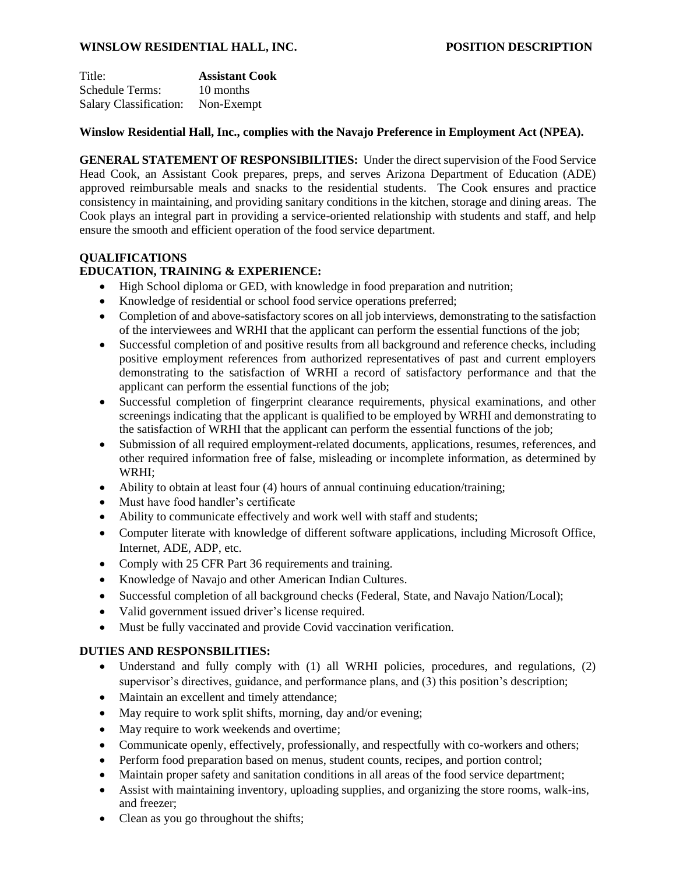## **WINSLOW RESIDENTIAL HALL, INC. POSITION DESCRIPTION**

| Title:                        | <b>Assistant Cook</b> |
|-------------------------------|-----------------------|
| <b>Schedule Terms:</b>        | 10 months             |
| <b>Salary Classification:</b> | Non-Exempt            |

#### **Winslow Residential Hall, Inc., complies with the Navajo Preference in Employment Act (NPEA).**

**GENERAL STATEMENT OF RESPONSIBILITIES:** Under the direct supervision of the Food Service Head Cook, an Assistant Cook prepares, preps, and serves Arizona Department of Education (ADE) approved reimbursable meals and snacks to the residential students. The Cook ensures and practice consistency in maintaining, and providing sanitary conditions in the kitchen, storage and dining areas. The Cook plays an integral part in providing a service-oriented relationship with students and staff, and help ensure the smooth and efficient operation of the food service department.

# **QUALIFICATIONS**

## **EDUCATION, TRAINING & EXPERIENCE:**

- High School diploma or GED, with knowledge in food preparation and nutrition;
- Knowledge of residential or school food service operations preferred;
- Completion of and above-satisfactory scores on all job interviews, demonstrating to the satisfaction of the interviewees and WRHI that the applicant can perform the essential functions of the job;
- Successful completion of and positive results from all background and reference checks, including positive employment references from authorized representatives of past and current employers demonstrating to the satisfaction of WRHI a record of satisfactory performance and that the applicant can perform the essential functions of the job;
- Successful completion of fingerprint clearance requirements, physical examinations, and other screenings indicating that the applicant is qualified to be employed by WRHI and demonstrating to the satisfaction of WRHI that the applicant can perform the essential functions of the job;
- Submission of all required employment-related documents, applications, resumes, references, and other required information free of false, misleading or incomplete information, as determined by WRHI;
- Ability to obtain at least four (4) hours of annual continuing education/training;
- Must have food handler's certificate
- Ability to communicate effectively and work well with staff and students;
- Computer literate with knowledge of different software applications, including Microsoft Office, Internet, ADE, ADP, etc.
- Comply with 25 CFR Part 36 requirements and training.
- Knowledge of Navajo and other American Indian Cultures.
- Successful completion of all background checks (Federal, State, and Navajo Nation/Local);
- Valid government issued driver's license required.
- Must be fully vaccinated and provide Covid vaccination verification.

# **DUTIES AND RESPONSBILITIES:**

- Understand and fully comply with (1) all WRHI policies, procedures, and regulations, (2) supervisor's directives, guidance, and performance plans, and (3) this position's description;
- Maintain an excellent and timely attendance;
- May require to work split shifts, morning, day and/or evening;
- May require to work weekends and overtime;
- Communicate openly, effectively, professionally, and respectfully with co-workers and others;
- Perform food preparation based on menus, student counts, recipes, and portion control;
- Maintain proper safety and sanitation conditions in all areas of the food service department;
- Assist with maintaining inventory, uploading supplies, and organizing the store rooms, walk-ins, and freezer;
- Clean as you go throughout the shifts;